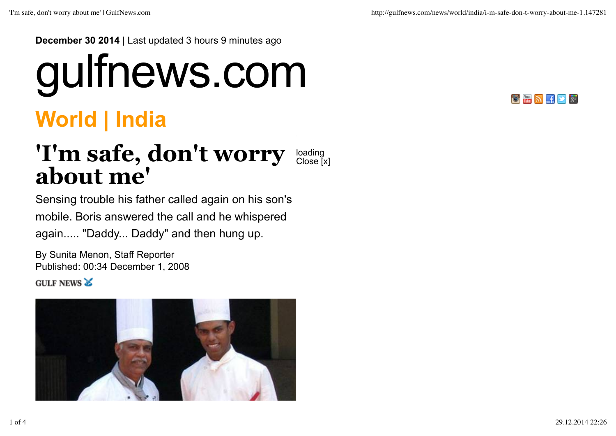**December 30 2014** | Last updated 3 hours 9 minutes ago

## gulfnews.com



## **World | India**

## 'I'm safe, don't worry loading **about me'** Close [x]

Sensing trouble his father called again on his son's mobile. Boris answered the call and he whispered again..... "Daddy... Daddy" and then hung up.

By Sunita Menon, Staff Reporter Published: 00:34 December 1, 2008 **GULF NEWS &** 

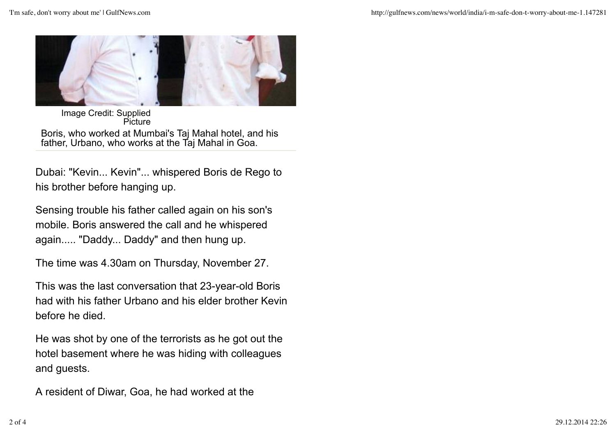

Image Credit: Supplied **Picture** 

Boris, who worked at Mumbai's Taj Mahal hotel, and his father, Urbano, who works at the Taj Mahal in Goa.

Dubai: "Kevin... Kevin"... whispered Boris de Rego to his brother before hanging up.

Sensing trouble his father called again on his son's mobile. Boris answered the call and he whispered again..... "Daddy... Daddy" and then hung up.

The time was 4.30am on Thursday, November 27.

This was the last conversation that 23-year-old Boris had with his father Urbano and his elder brother Kevin before he died.

He was shot by one of the terrorists as he got out the hotel basement where he was hiding with colleagues and guests.

A resident of Diwar, Goa, he had worked at the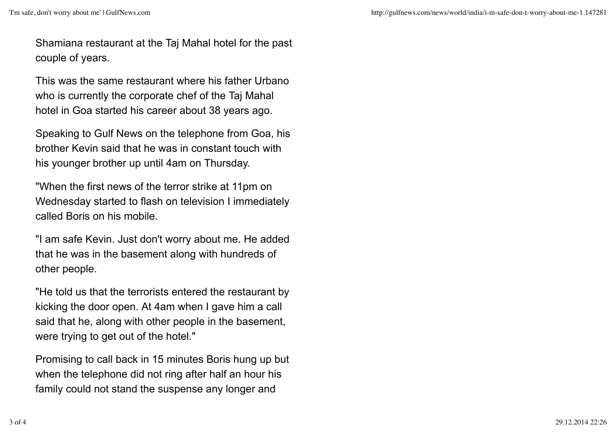Shamiana restaurant at the Taj Mahal hotel for the past couple of years.

This was the same restaurant where his father Urbano who is currently the corporate chef of the Taj Mahal hotel in Goa started his career about 38 years ago.

Speaking to Gulf News on the telephone from Goa, his brother Kevin said that he was in constant touch with his younger brother up until 4am on Thursday.

"When the first news of the terror strike at 11pm on Wednesday started to flash on television I immediately called Boris on his mobile.

"I am safe Kevin. Just don't worry about me. He added that he was in the basement along with hundreds of other people.

"He told us that the terrorists entered the restaurant by kicking the door open. At 4am when I gave him a call said that he, along with other people in the basement, were trying to get out of the hotel."

Promising to call back in 15 minutes Boris hung up but when the telephone did not ring after half an hour his family could not stand the suspense any longer and